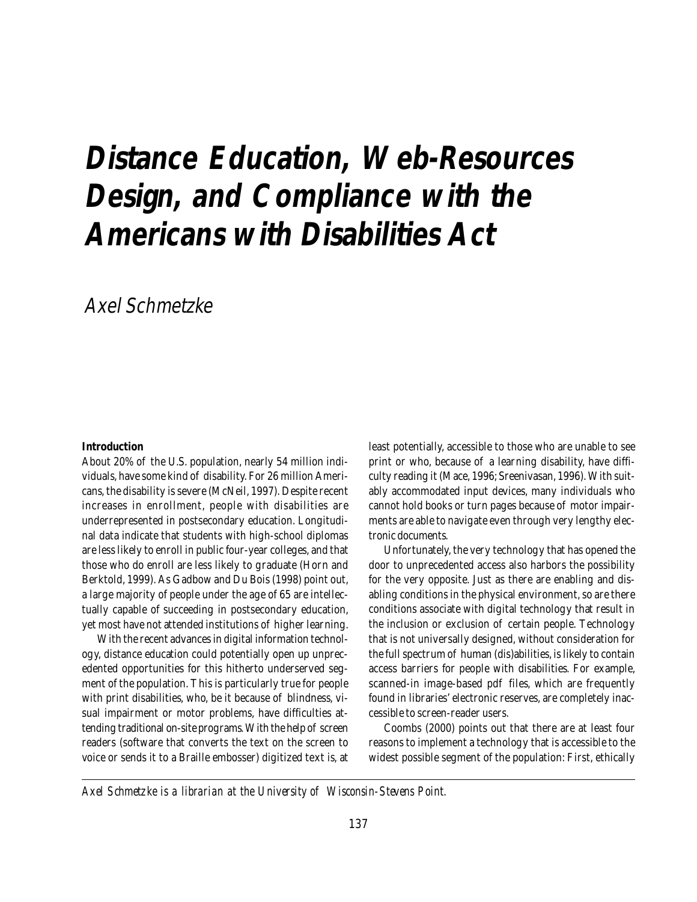# **Distance Education, Web-Resources Design, and Compliance with the Americans with Disabilities Act**

Axel Schmetzke

#### **Introduction**

About 20% of the U.S. population, nearly 54 million individuals, have some kind of disability. For 26 million Americans, the disability is severe (McNeil, 1997). Despite recent increases in enrollment, people with disabilities are underrepresented in postsecondary education. Longitudinal data indicate that students with high-school diplomas are less likely to enroll in public four-year colleges, and that those who do enroll are less likely to graduate (Horn and Berktold, 1999). As Gadbow and Du Bois (1998) point out, a large majority of people under the age of 65 are intellectually capable of succeeding in postsecondary education, yet most have not attended institutions of higher learning.

With the recent advances in digital information technology, distance education could potentially open up unprecedented opportunities for this hitherto underserved segment of the population. This is particularly true for people with print disabilities, who, be it because of blindness, visual impairment or motor problems, have difficulties attending traditional on-site programs. With the help of screen readers (software that converts the text on the screen to voice or sends it to a Braille embosser) digitized text is, at

least potentially, accessible to those who are unable to see print or who, because of a learning disability, have difficulty reading it (Mace, 1996; Sreenivasan, 1996). With suitably accommodated input devices, many individuals who cannot hold books or turn pages because of motor impairments are able to navigate even through very lengthy electronic documents.

Unfortunately, the very technology that has opened the door to unprecedented access also harbors the possibility for the very opposite. Just as there are enabling and disabling conditions in the physical environment, so are there conditions associate with digital technology that result in the inclusion or exclusion of certain people. Technology that is not universally designed, without consideration for the full spectrum of human (dis)abilities, is likely to contain access barriers for people with disabilities. For example, scanned-in image-based pdf files, which are frequently found in libraries' electronic reserves, are completely inaccessible to screen-reader users.

Coombs (2000) points out that there are at least four reasons to implement a technology that is accessible to the widest possible segment of the population: First, ethically

*Axel Schmetzke is a librarian at the University of Wisconsin-Stevens Point.*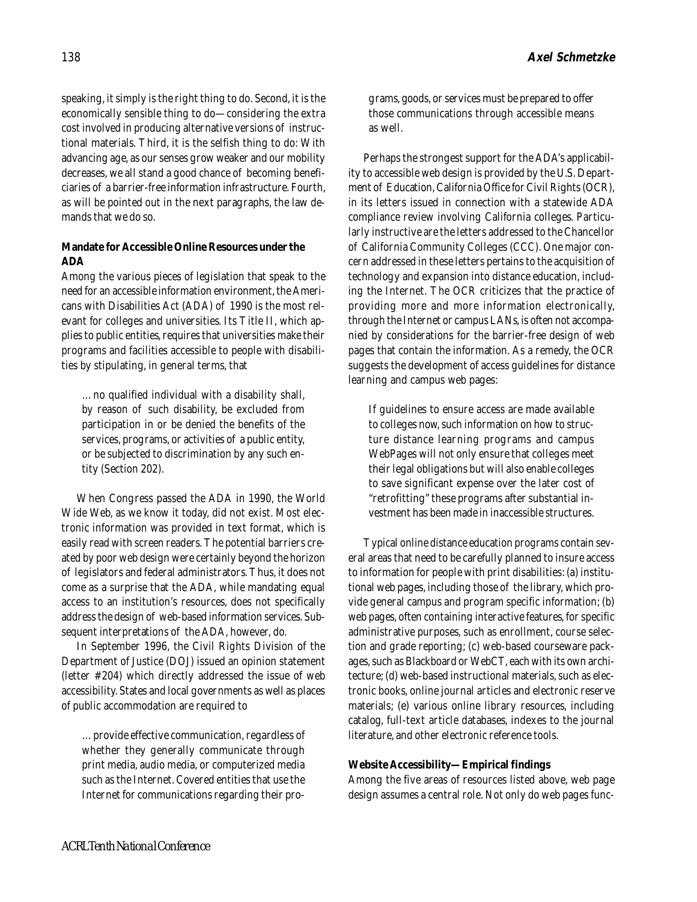speaking, it simply is the right thing to do. Second, it is the economically sensible thing to do—considering the extra cost involved in producing alternative versions of instructional materials. Third, it is the selfish thing to do: With advancing age, as our senses grow weaker and our mobility decreases, we all stand a good chance of becoming beneficiaries of a barrier-free information infrastructure. Fourth, as will be pointed out in the next paragraphs, the law demands that we do so.

## **Mandate for Accessible Online Resources under the ADA**

Among the various pieces of legislation that speak to the need for an accessible information environment, the Americans with Disabilities Act (ADA) of 1990 is the most relevant for colleges and universities. Its Title II, which applies to public entities, requires that universities make their programs and facilities accessible to people with disabilities by stipulating, in general terms, that

…no qualified individual with a disability shall, by reason of such disability, be excluded from participation in or be denied the benefits of the services, programs, or activities of a public entity, or be subjected to discrimination by any such entity (Section 202).

When Congress passed the ADA in 1990, the World Wide Web, as we know it today, did not exist. Most electronic information was provided in text format, which is easily read with screen readers. The potential barriers created by poor web design were certainly beyond the horizon of legislators and federal administrators. Thus, it does not come as a surprise that the ADA, while mandating equal access to an institution's resources, does not specifically address the design of web-based information services. Subsequent interpretations of the ADA, however, do.

In September 1996, the Civil Rights Division of the Department of Justice (DOJ) issued an opinion statement (letter #204) which directly addressed the issue of web accessibility. States and local governments as well as places of public accommodation are required to

…provide effective communication, regardless of whether they generally communicate through print media, audio media, or computerized media such as the Internet. Covered entities that use the Internet for communications regarding their programs, goods, or services must be prepared to offer those communications through accessible means as well.

Perhaps the strongest support for the ADA's applicability to accessible web design is provided by the U.S. Department of Education, California Office for Civil Rights (OCR), in its letters issued in connection with a statewide ADA compliance review involving California colleges. Particularly instructive are the letters addressed to the Chancellor of California Community Colleges (CCC). One major concern addressed in these letters pertains to the acquisition of technology and expansion into distance education, including the Internet. The OCR criticizes that the practice of providing more and more information electronically, through the Internet or campus LANs, is often not accompanied by considerations for the barrier-free design of web pages that contain the information. As a remedy, the OCR suggests the development of access guidelines for distance learning and campus web pages:

If guidelines to ensure access are made available to colleges now, such information on how to structure distance learning programs and campus WebPages will not only ensure that colleges meet their legal obligations but will also enable colleges to save significant expense over the later cost of "retrofitting" these programs after substantial investment has been made in inaccessible structures.

Typical online distance education programs contain several areas that need to be carefully planned to insure access to information for people with print disabilities: (a) institutional web pages, including those of the library, which provide general campus and program specific information; (b) web pages, often containing interactive features, for specific administrative purposes, such as enrollment, course selection and grade reporting; (c) web-based courseware packages, such as Blackboard or WebCT, each with its own architecture; (d) web-based instructional materials, such as electronic books, online journal articles and electronic reserve materials; (e) various online library resources, including catalog, full-text article databases, indexes to the journal literature, and other electronic reference tools.

## **Website Accessibility—Empirical findings**

Among the five areas of resources listed above, web page design assumes a central role. Not only do web pages func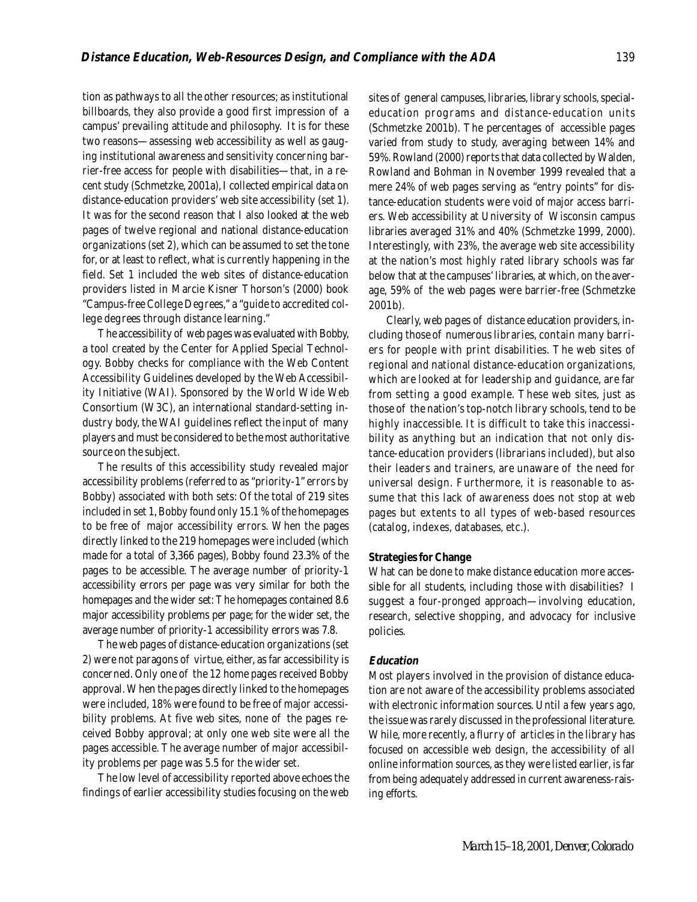tion as pathways to all the other resources; as institutional billboards, they also provide a good first impression of a campus' prevailing attitude and philosophy. It is for these two reasons—assessing web accessibility as well as gauging institutional awareness and sensitivity concerning barrier-free access for people with disabilities—that, in a recent study (Schmetzke, 2001a), I collected empirical data on distance-education providers' web site accessibility (set 1). It was for the second reason that I also looked at the web pages of twelve regional and national distance-education organizations (set 2), which can be assumed to set the tone for, or at least to reflect, what is currently happening in the field. Set 1 included the web sites of distance-education providers listed in Marcie Kisner Thorson's (2000) book "Campus-free College Degrees," a "guide to accredited college degrees through distance learning."

The accessibility of web pages was evaluated with Bobby, a tool created by the Center for Applied Special Technology. Bobby checks for compliance with the Web Content Accessibility Guidelines developed by the Web Accessibility Initiative (WAI). Sponsored by the World Wide Web Consortium (W3C), an international standard-setting industry body, the WAI guidelines reflect the input of many players and must be considered to be the most authoritative source on the subject.

The results of this accessibility study revealed major accessibility problems (referred to as "priority-1" errors by Bobby) associated with both sets: Of the total of 219 sites included in set 1, Bobby found only 15.1 % of the homepages to be free of major accessibility errors. When the pages directly linked to the 219 homepages were included (which made for a total of 3,366 pages), Bobby found 23.3% of the pages to be accessible. The average number of priority-1 accessibility errors per page was very similar for both the homepages and the wider set: The homepages contained 8.6 major accessibility problems per page; for the wider set, the average number of priority-1 accessibility errors was 7.8.

The web pages of distance-education organizations (set 2) were not paragons of virtue, either, as far accessibility is concerned. Only one of the 12 home pages received Bobby approval. When the pages directly linked to the homepages were included, 18% were found to be free of major accessibility problems. At five web sites, none of the pages received Bobby approval; at only one web site were all the pages accessible. The average number of major accessibility problems per page was 5.5 for the wider set.

The low level of accessibility reported above echoes the findings of earlier accessibility studies focusing on the web sites of general campuses, libraries, library schools, specialeducation programs and distance-education units (Schmetzke 2001b). The percentages of accessible pages varied from study to study, averaging between 14% and 59%. Rowland (2000) reports that data collected by Walden, Rowland and Bohman in November 1999 revealed that a mere 24% of web pages serving as "entry points" for distance-education students were void of major access barriers. Web accessibility at University of Wisconsin campus libraries averaged 31% and 40% (Schmetzke 1999, 2000). Interestingly, with 23%, the average web site accessibility at the nation's most highly rated library schools was far below that at the campuses' libraries, at which, on the average, 59% of the web pages were barrier-free (Schmetzke 2001b).

 Clearly, web pages of distance education providers, including those of numerous libraries, contain many barriers for people with print disabilities. The web sites of regional and national distance-education organizations, which are looked at for leadership and guidance, are far from setting a good example. These web sites, just as those of the nation's top-notch library schools, tend to be highly inaccessible. It is difficult to take this inaccessibility as anything but an indication that not only distance-education providers (librarians included), but also their leaders and trainers, are unaware of the need for universal design. Furthermore, it is reasonable to assume that this lack of awareness does not stop at web pages but extents to all types of web-based resources (catalog, indexes, databases, etc.).

#### **Strategies for Change**

What can be done to make distance education more accessible for all students, including those with disabilities? I suggest a four-pronged approach—involving education, research, selective shopping, and advocacy for inclusive policies.

#### **Education**

Most players involved in the provision of distance education are not aware of the accessibility problems associated with electronic information sources. Until a few years ago, the issue was rarely discussed in the professional literature. While, more recently, a flurry of articles in the library has focused on accessible web design, the accessibility of all online information sources, as they were listed earlier, is far from being adequately addressed in current awareness-raising efforts.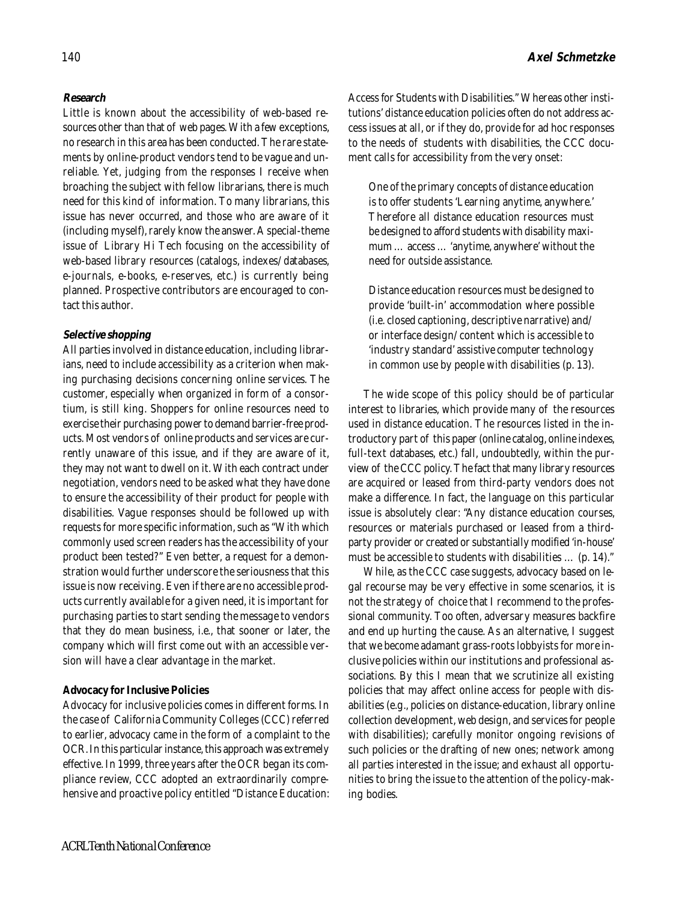# **Research**

Little is known about the accessibility of web-based resources other than that of web pages. With a few exceptions, no research in this area has been conducted. The rare statements by online-product vendors tend to be vague and unreliable. Yet, judging from the responses I receive when broaching the subject with fellow librarians, there is much need for this kind of information. To many librarians, this issue has never occurred, and those who are aware of it (including myself), rarely know the answer. A special-theme issue of Library Hi Tech focusing on the accessibility of web-based library resources (catalogs, indexes/databases, e-journals, e-books, e-reserves, etc.) is currently being planned. Prospective contributors are encouraged to contact this author.

## **Selective shopping**

All parties involved in distance education, including librarians, need to include accessibility as a criterion when making purchasing decisions concerning online services. The customer, especially when organized in form of a consortium, is still king. Shoppers for online resources need to exercise their purchasing power to demand barrier-free products. Most vendors of online products and services are currently unaware of this issue, and if they are aware of it, they may not want to dwell on it. With each contract under negotiation, vendors need to be asked what they have done to ensure the accessibility of their product for people with disabilities. Vague responses should be followed up with requests for more specific information, such as "With which commonly used screen readers has the accessibility of your product been tested?" Even better, a request for a demonstration would further underscore the seriousness that this issue is now receiving. Even if there are no accessible products currently available for a given need, it is important for purchasing parties to start sending the message to vendors that they do mean business, i.e., that sooner or later, the company which will first come out with an accessible version will have a clear advantage in the market.

## **Advocacy for Inclusive Policies**

Advocacy for inclusive policies comes in different forms. In the case of California Community Colleges (CCC) referred to earlier, advocacy came in the form of a complaint to the OCR. In this particular instance, this approach was extremely effective. In 1999, three years after the OCR began its compliance review, CCC adopted an extraordinarily comprehensive and proactive policy entitled "Distance Education: Access for Students with Disabilities." Whereas other institutions' distance education policies often do not address access issues at all, or if they do, provide for ad hoc responses to the needs of students with disabilities, the CCC document calls for accessibility from the very onset:

One of the primary concepts of distance education is to offer students 'Learning anytime, anywhere.' Therefore all distance education resources must be designed to afford students with disability maximum … access … 'anytime, anywhere' without the need for outside assistance.

Distance education resources must be designed to provide 'built-in' accommodation where possible (i.e. closed captioning, descriptive narrative) and/ or interface design/content which is accessible to 'industry standard' assistive computer technology in common use by people with disabilities (p. 13).

The wide scope of this policy should be of particular interest to libraries, which provide many of the resources used in distance education. The resources listed in the introductory part of this paper (online catalog, online indexes, full-text databases, etc.) fall, undoubtedly, within the purview of the CCC policy. The fact that many library resources are acquired or leased from third-party vendors does not make a difference. In fact, the language on this particular issue is absolutely clear: "Any distance education courses, resources or materials purchased or leased from a thirdparty provider or created or substantially modified 'in-house' must be accessible to students with disabilities … (p. 14)."

While, as the CCC case suggests, advocacy based on legal recourse may be very effective in some scenarios, it is not the strategy of choice that I recommend to the professional community. Too often, adversary measures backfire and end up hurting the cause. As an alternative, I suggest that we become adamant grass-roots lobbyists for more inclusive policies within our institutions and professional associations. By this I mean that we scrutinize all existing policies that may affect online access for people with disabilities (e.g., policies on distance-education, library online collection development, web design, and services for people with disabilities); carefully monitor ongoing revisions of such policies or the drafting of new ones; network among all parties interested in the issue; and exhaust all opportunities to bring the issue to the attention of the policy-making bodies.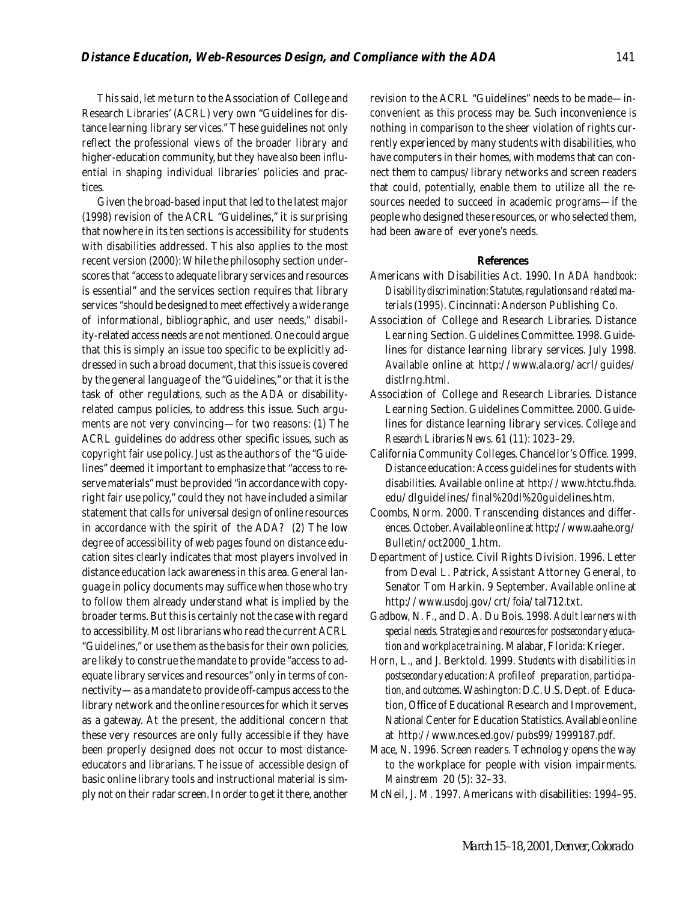This said, let me turn to the Association of College and Research Libraries' (ACRL) very own "Guidelines for distance learning library services." These guidelines not only reflect the professional views of the broader library and higher-education community, but they have also been influential in shaping individual libraries' policies and practices.

Given the broad-based input that led to the latest major (1998) revision of the ACRL "Guidelines," it is surprising that nowhere in its ten sections is accessibility for students with disabilities addressed. This also applies to the most recent version (2000): While the philosophy section underscores that "access to adequate library services and resources is essential" and the services section requires that library services "should be designed to meet effectively a wide range of informational, bibliographic, and user needs," disability-related access needs are not mentioned. One could argue that this is simply an issue too specific to be explicitly addressed in such a broad document, that this issue is covered by the general language of the "Guidelines," or that it is the task of other regulations, such as the ADA or disabilityrelated campus policies, to address this issue. Such arguments are not very convincing—for two reasons: (1) The ACRL guidelines do address other specific issues, such as copyright fair use policy. Just as the authors of the "Guidelines" deemed it important to emphasize that "access to reserve materials" must be provided "in accordance with copyright fair use policy," could they not have included a similar statement that calls for universal design of online resources in accordance with the spirit of the ADA? (2) The low degree of accessibility of web pages found on distance education sites clearly indicates that most players involved in distance education lack awareness in this area. General language in policy documents may suffice when those who try to follow them already understand what is implied by the broader terms. But this is certainly not the case with regard to accessibility. Most librarians who read the current ACRL "Guidelines," or use them as the basis for their own policies, are likely to construe the mandate to provide "access to adequate library services and resources" only in terms of connectivity—as a mandate to provide off-campus access to the library network and the online resources for which it serves as a gateway. At the present, the additional concern that these very resources are only fully accessible if they have been properly designed does not occur to most distanceeducators and librarians. The issue of accessible design of basic online library tools and instructional material is simply not on their radar screen. In order to get it there, another

revision to the ACRL "Guidelines" needs to be made—inconvenient as this process may be. Such inconvenience is nothing in comparison to the sheer violation of rights currently experienced by many students with disabilities, who have computers in their homes, with modems that can connect them to campus/library networks and screen readers that could, potentially, enable them to utilize all the resources needed to succeed in academic programs—if the people who designed these resources, or who selected them, had been aware of everyone's needs.

#### **References**

- Americans with Disabilities Act*.* 1990. In *ADA handbook: Disability discrimination: Statutes, regulations and related materials* (1995*)*. Cincinnati: Anderson Publishing Co.
- Association of College and Research Libraries. Distance Learning Section. Guidelines Committee. 1998. Guidelines for distance learning library services. July 1998. Available online at http://www.ala.org/acrl/guides/ distlrng.html.
- Association of College and Research Libraries. Distance Learning Section. Guidelines Committee. 2000. Guidelines for distance learning library services. *College and Research Libraries News*. 61 (11): 1023–29.
- California Community Colleges. Chancellor's Office. 1999. Distance education: Access guidelines for students with disabilities. Available online at http://www.htctu.fhda. edu/dlguidelines/final%20dl%20guidelines.htm.
- Coombs, Norm. 2000. Transcending distances and differences. October. Available online at http://www.aahe.org/ Bulletin/oct2000\_1.htm.
- Department of Justice. Civil Rights Division. 1996. Letter from Deval L. Patrick, Assistant Attorney General, to Senator Tom Harkin. 9 September. Available online at http://www.usdoj.gov/crt/foia/tal712.txt.
- Gadbow, N. F., and D. A. Du Bois. 1998. *Adult learners with special needs. Strategies and resources for postsecondary education and workplace training*. Malabar, Florida: Krieger.
- Horn, L., and J. Berktold. 1999. *Students with disabilities in postsecondary education: A profile of preparation, participation, and outcomes*. Washington: D.C. U.S. Dept. of Education, Office of Educational Research and Improvement, National Center for Education Statistics. Available online at http://www.nces.ed.gov/pubs99/1999187.pdf.
- Mace, N. 1996. Screen readers. Technology opens the way to the workplace for people with vision impairments. *Mainstream* 20 (5): 32–33.
- McNeil, J. M. 1997. Americans with disabilities: 1994–95.